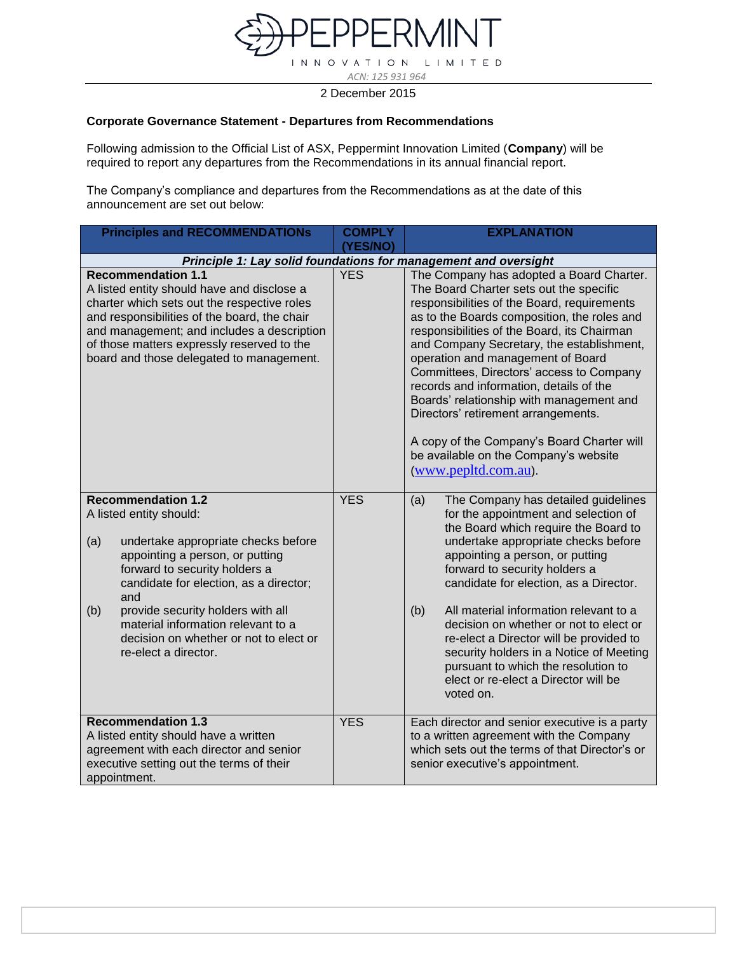

L I M I T E D  $INN$  $\circ$ TION V A

 *ACN: 125 931 964*

2 December 2015

## **Corporate Governance Statement - Departures from Recommendations**

Following admission to the Official List of ASX, Peppermint Innovation Limited (**Company**) will be required to report any departures from the Recommendations in its annual financial report.

The Company's compliance and departures from the Recommendations as at the date of this announcement are set out below:

| <b>Principles and RECOMMENDATIONs</b>                                                                                                                                                                                                                                                                                                                                       | <b>COMPLY</b> | <b>EXPLANATION</b>                                                                                                                                                                                                                                                                                                                                                                                                                                                                                                                                                                                          |
|-----------------------------------------------------------------------------------------------------------------------------------------------------------------------------------------------------------------------------------------------------------------------------------------------------------------------------------------------------------------------------|---------------|-------------------------------------------------------------------------------------------------------------------------------------------------------------------------------------------------------------------------------------------------------------------------------------------------------------------------------------------------------------------------------------------------------------------------------------------------------------------------------------------------------------------------------------------------------------------------------------------------------------|
|                                                                                                                                                                                                                                                                                                                                                                             | (YES/NO)      |                                                                                                                                                                                                                                                                                                                                                                                                                                                                                                                                                                                                             |
|                                                                                                                                                                                                                                                                                                                                                                             |               | Principle 1: Lay solid foundations for management and oversight                                                                                                                                                                                                                                                                                                                                                                                                                                                                                                                                             |
| <b>Recommendation 1.1</b><br>A listed entity should have and disclose a<br>charter which sets out the respective roles<br>and responsibilities of the board, the chair<br>and management; and includes a description<br>of those matters expressly reserved to the<br>board and those delegated to management.                                                              | <b>YES</b>    | The Company has adopted a Board Charter.<br>The Board Charter sets out the specific<br>responsibilities of the Board, requirements<br>as to the Boards composition, the roles and<br>responsibilities of the Board, its Chairman<br>and Company Secretary, the establishment,<br>operation and management of Board<br>Committees, Directors' access to Company<br>records and information, details of the<br>Boards' relationship with management and<br>Directors' retirement arrangements.<br>A copy of the Company's Board Charter will<br>be available on the Company's website<br>(www.pepltd.com.au). |
| <b>Recommendation 1.2</b><br>A listed entity should:<br>(a)<br>undertake appropriate checks before<br>appointing a person, or putting<br>forward to security holders a<br>candidate for election, as a director;<br>and<br>provide security holders with all<br>(b)<br>material information relevant to a<br>decision on whether or not to elect or<br>re-elect a director. | <b>YES</b>    | The Company has detailed guidelines<br>(a)<br>for the appointment and selection of<br>the Board which require the Board to<br>undertake appropriate checks before<br>appointing a person, or putting<br>forward to security holders a<br>candidate for election, as a Director.<br>All material information relevant to a<br>(b)<br>decision on whether or not to elect or<br>re-elect a Director will be provided to<br>security holders in a Notice of Meeting<br>pursuant to which the resolution to<br>elect or re-elect a Director will be<br>voted on.                                                |
| <b>Recommendation 1.3</b><br>A listed entity should have a written<br>agreement with each director and senior<br>executive setting out the terms of their<br>appointment.                                                                                                                                                                                                   | <b>YES</b>    | Each director and senior executive is a party<br>to a written agreement with the Company<br>which sets out the terms of that Director's or<br>senior executive's appointment.                                                                                                                                                                                                                                                                                                                                                                                                                               |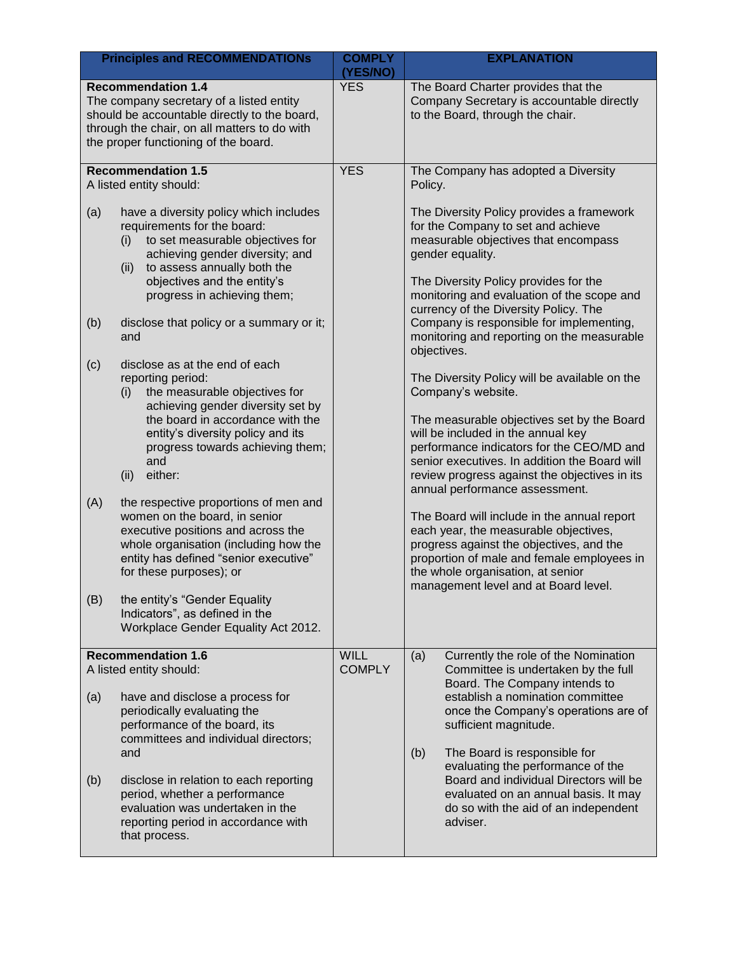|                   | <b>Principles and RECOMMENDATIONs</b>                                                                                                                                                                                                                                                                                                                                                                                                                                                                                                                                          | <b>COMPLY</b><br>(YES/NO)    | <b>EXPLANATION</b>                                                                                                                                                                                                                                                                                                                                                                                                                                                                                                                                                                                                                                                   |
|-------------------|--------------------------------------------------------------------------------------------------------------------------------------------------------------------------------------------------------------------------------------------------------------------------------------------------------------------------------------------------------------------------------------------------------------------------------------------------------------------------------------------------------------------------------------------------------------------------------|------------------------------|----------------------------------------------------------------------------------------------------------------------------------------------------------------------------------------------------------------------------------------------------------------------------------------------------------------------------------------------------------------------------------------------------------------------------------------------------------------------------------------------------------------------------------------------------------------------------------------------------------------------------------------------------------------------|
|                   | <b>Recommendation 1.4</b><br>The company secretary of a listed entity<br>should be accountable directly to the board,<br>through the chair, on all matters to do with<br>the proper functioning of the board.                                                                                                                                                                                                                                                                                                                                                                  | <b>YES</b>                   | The Board Charter provides that the<br>Company Secretary is accountable directly<br>to the Board, through the chair.                                                                                                                                                                                                                                                                                                                                                                                                                                                                                                                                                 |
|                   | <b>Recommendation 1.5</b><br>A listed entity should:                                                                                                                                                                                                                                                                                                                                                                                                                                                                                                                           | <b>YES</b>                   | The Company has adopted a Diversity<br>Policy.                                                                                                                                                                                                                                                                                                                                                                                                                                                                                                                                                                                                                       |
| (a)<br>(b)        | have a diversity policy which includes<br>requirements for the board:<br>to set measurable objectives for<br>(i)<br>achieving gender diversity; and<br>to assess annually both the<br>(ii)<br>objectives and the entity's<br>progress in achieving them;<br>disclose that policy or a summary or it;                                                                                                                                                                                                                                                                           |                              | The Diversity Policy provides a framework<br>for the Company to set and achieve<br>measurable objectives that encompass<br>gender equality.<br>The Diversity Policy provides for the<br>monitoring and evaluation of the scope and<br>currency of the Diversity Policy. The<br>Company is responsible for implementing,                                                                                                                                                                                                                                                                                                                                              |
| (c)<br>(A)<br>(B) | and<br>disclose as at the end of each<br>reporting period:<br>the measurable objectives for<br>(i)<br>achieving gender diversity set by<br>the board in accordance with the<br>entity's diversity policy and its<br>progress towards achieving them;<br>and<br>either:<br>(ii)<br>the respective proportions of men and<br>women on the board, in senior<br>executive positions and across the<br>whole organisation (including how the<br>entity has defined "senior executive"<br>for these purposes); or<br>the entity's "Gender Equality<br>Indicators", as defined in the |                              | monitoring and reporting on the measurable<br>objectives.<br>The Diversity Policy will be available on the<br>Company's website.<br>The measurable objectives set by the Board<br>will be included in the annual key<br>performance indicators for the CEO/MD and<br>senior executives. In addition the Board will<br>review progress against the objectives in its<br>annual performance assessment.<br>The Board will include in the annual report<br>each year, the measurable objectives,<br>progress against the objectives, and the<br>proportion of male and female employees in<br>the whole organisation, at senior<br>management level and at Board level. |
|                   | Workplace Gender Equality Act 2012.                                                                                                                                                                                                                                                                                                                                                                                                                                                                                                                                            |                              |                                                                                                                                                                                                                                                                                                                                                                                                                                                                                                                                                                                                                                                                      |
| (a)               | <b>Recommendation 1.6</b><br>A listed entity should:<br>have and disclose a process for<br>periodically evaluating the<br>performance of the board, its<br>committees and individual directors;<br>and                                                                                                                                                                                                                                                                                                                                                                         | <b>WILL</b><br><b>COMPLY</b> | Currently the role of the Nomination<br>(a)<br>Committee is undertaken by the full<br>Board. The Company intends to<br>establish a nomination committee<br>once the Company's operations are of<br>sufficient magnitude.<br>(b)<br>The Board is responsible for                                                                                                                                                                                                                                                                                                                                                                                                      |
| (b)               | disclose in relation to each reporting<br>period, whether a performance<br>evaluation was undertaken in the<br>reporting period in accordance with<br>that process.                                                                                                                                                                                                                                                                                                                                                                                                            |                              | evaluating the performance of the<br>Board and individual Directors will be<br>evaluated on an annual basis. It may<br>do so with the aid of an independent<br>adviser.                                                                                                                                                                                                                                                                                                                                                                                                                                                                                              |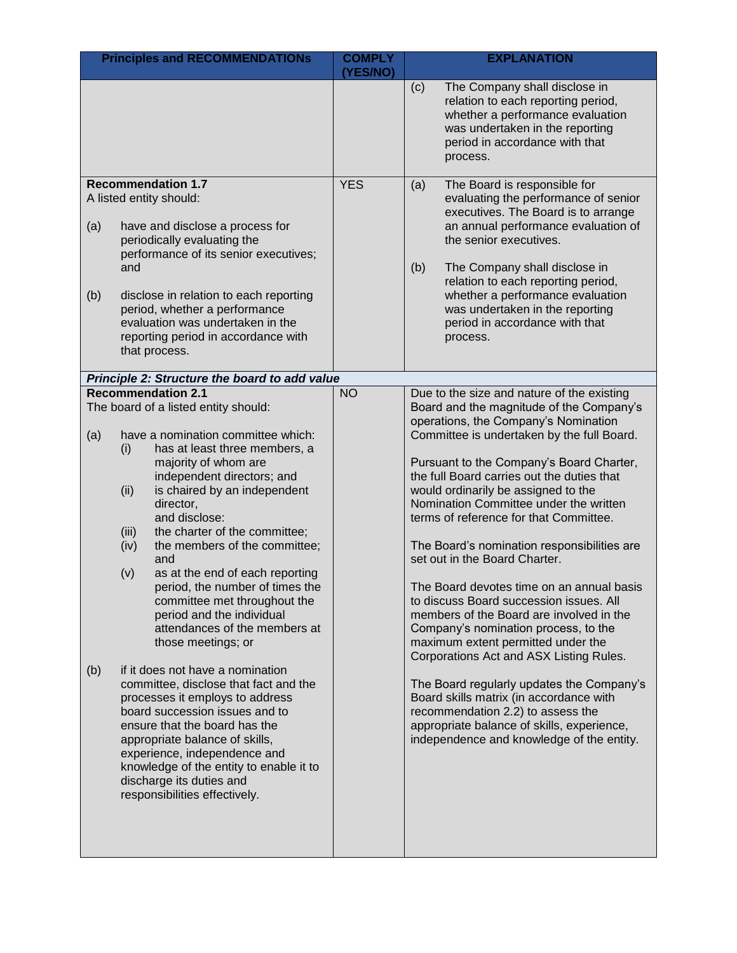| <b>Principles and RECOMMENDATIONs</b>                                                                                                                                                                                                                                                                                                                                                                                                                                                                                                                                                                                                                                                                                                                                                                                                                                                                                                             | <b>COMPLY</b> | <b>EXPLANATION</b>                                                                                                                                                                                                                                                                                                                                                                                                                                                                                                                                                                                                                                                                                                                                                                                                                                                                                                                                                     |
|---------------------------------------------------------------------------------------------------------------------------------------------------------------------------------------------------------------------------------------------------------------------------------------------------------------------------------------------------------------------------------------------------------------------------------------------------------------------------------------------------------------------------------------------------------------------------------------------------------------------------------------------------------------------------------------------------------------------------------------------------------------------------------------------------------------------------------------------------------------------------------------------------------------------------------------------------|---------------|------------------------------------------------------------------------------------------------------------------------------------------------------------------------------------------------------------------------------------------------------------------------------------------------------------------------------------------------------------------------------------------------------------------------------------------------------------------------------------------------------------------------------------------------------------------------------------------------------------------------------------------------------------------------------------------------------------------------------------------------------------------------------------------------------------------------------------------------------------------------------------------------------------------------------------------------------------------------|
|                                                                                                                                                                                                                                                                                                                                                                                                                                                                                                                                                                                                                                                                                                                                                                                                                                                                                                                                                   | (YES/NO)      | (c)<br>The Company shall disclose in<br>relation to each reporting period,<br>whether a performance evaluation<br>was undertaken in the reporting<br>period in accordance with that<br>process.                                                                                                                                                                                                                                                                                                                                                                                                                                                                                                                                                                                                                                                                                                                                                                        |
| <b>Recommendation 1.7</b><br>A listed entity should:<br>(a)<br>have and disclose a process for<br>periodically evaluating the<br>performance of its senior executives;<br>and<br>(b)<br>disclose in relation to each reporting<br>period, whether a performance<br>evaluation was undertaken in the<br>reporting period in accordance with<br>that process.                                                                                                                                                                                                                                                                                                                                                                                                                                                                                                                                                                                       | <b>YES</b>    | The Board is responsible for<br>(a)<br>evaluating the performance of senior<br>executives. The Board is to arrange<br>an annual performance evaluation of<br>the senior executives.<br>(b)<br>The Company shall disclose in<br>relation to each reporting period,<br>whether a performance evaluation<br>was undertaken in the reporting<br>period in accordance with that<br>process.                                                                                                                                                                                                                                                                                                                                                                                                                                                                                                                                                                                 |
| Principle 2: Structure the board to add value                                                                                                                                                                                                                                                                                                                                                                                                                                                                                                                                                                                                                                                                                                                                                                                                                                                                                                     |               |                                                                                                                                                                                                                                                                                                                                                                                                                                                                                                                                                                                                                                                                                                                                                                                                                                                                                                                                                                        |
| <b>Recommendation 2.1</b><br>The board of a listed entity should:<br>have a nomination committee which:<br>(a)<br>has at least three members, a<br>(i)<br>majority of whom are<br>independent directors; and<br>is chaired by an independent<br>(ii)<br>director,<br>and disclose:<br>the charter of the committee;<br>(iii)<br>the members of the committee;<br>(iv)<br>and<br>as at the end of each reporting<br>(v)<br>period, the number of times the<br>committee met throughout the<br>period and the individual<br>attendances of the members at<br>those meetings; or<br>if it does not have a nomination<br>(b)<br>committee, disclose that fact and the<br>processes it employs to address<br>board succession issues and to<br>ensure that the board has the<br>appropriate balance of skills,<br>experience, independence and<br>knowledge of the entity to enable it to<br>discharge its duties and<br>responsibilities effectively. | <b>NO</b>     | Due to the size and nature of the existing<br>Board and the magnitude of the Company's<br>operations, the Company's Nomination<br>Committee is undertaken by the full Board.<br>Pursuant to the Company's Board Charter,<br>the full Board carries out the duties that<br>would ordinarily be assigned to the<br>Nomination Committee under the written<br>terms of reference for that Committee.<br>The Board's nomination responsibilities are<br>set out in the Board Charter.<br>The Board devotes time on an annual basis<br>to discuss Board succession issues. All<br>members of the Board are involved in the<br>Company's nomination process, to the<br>maximum extent permitted under the<br>Corporations Act and ASX Listing Rules.<br>The Board regularly updates the Company's<br>Board skills matrix (in accordance with<br>recommendation 2.2) to assess the<br>appropriate balance of skills, experience,<br>independence and knowledge of the entity. |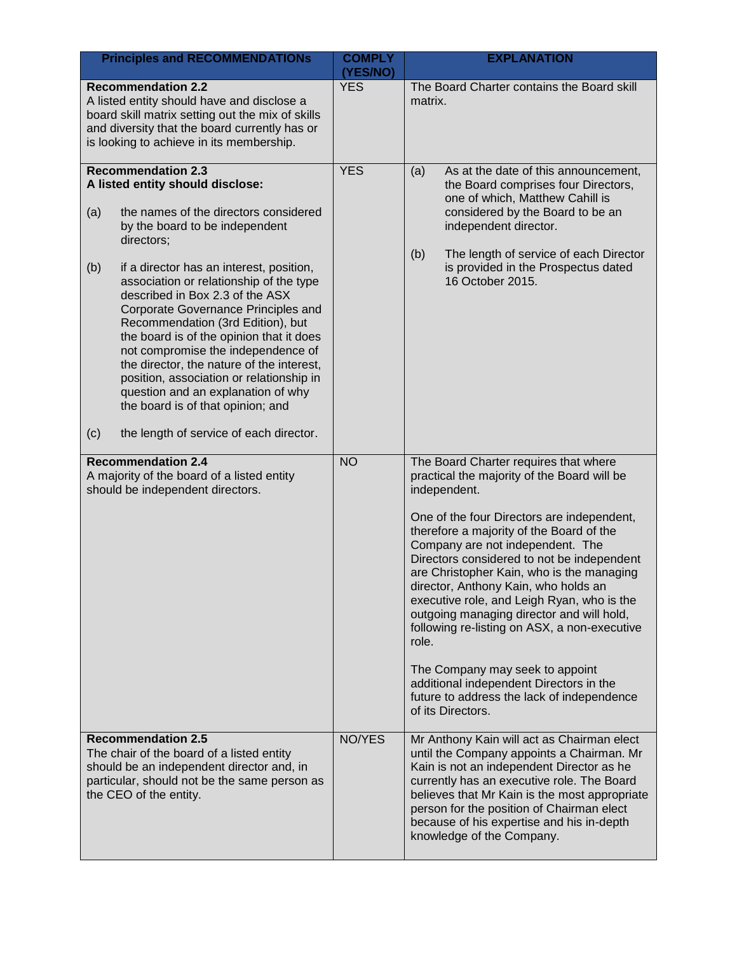| <b>Principles and RECOMMENDATIONs</b>                                                                                                                                                                                                                                                                                                                                                                                                                                                                                                                                                                                                                                              | <b>COMPLY</b><br>(YES/NO) | <b>EXPLANATION</b>                                                                                                                                                                                                                                                                                                                                                                                                                                                                                                                                                                                                                                                         |
|------------------------------------------------------------------------------------------------------------------------------------------------------------------------------------------------------------------------------------------------------------------------------------------------------------------------------------------------------------------------------------------------------------------------------------------------------------------------------------------------------------------------------------------------------------------------------------------------------------------------------------------------------------------------------------|---------------------------|----------------------------------------------------------------------------------------------------------------------------------------------------------------------------------------------------------------------------------------------------------------------------------------------------------------------------------------------------------------------------------------------------------------------------------------------------------------------------------------------------------------------------------------------------------------------------------------------------------------------------------------------------------------------------|
| <b>Recommendation 2.2</b><br>A listed entity should have and disclose a<br>board skill matrix setting out the mix of skills<br>and diversity that the board currently has or<br>is looking to achieve in its membership.                                                                                                                                                                                                                                                                                                                                                                                                                                                           | <b>YES</b>                | The Board Charter contains the Board skill<br>matrix.                                                                                                                                                                                                                                                                                                                                                                                                                                                                                                                                                                                                                      |
| <b>Recommendation 2.3</b><br>A listed entity should disclose:<br>(a)<br>the names of the directors considered<br>by the board to be independent<br>directors;<br>(b)<br>if a director has an interest, position,<br>association or relationship of the type<br>described in Box 2.3 of the ASX<br>Corporate Governance Principles and<br>Recommendation (3rd Edition), but<br>the board is of the opinion that it does<br>not compromise the independence of<br>the director, the nature of the interest,<br>position, association or relationship in<br>question and an explanation of why<br>the board is of that opinion; and<br>(c)<br>the length of service of each director. | <b>YES</b>                | As at the date of this announcement,<br>(a)<br>the Board comprises four Directors,<br>one of which, Matthew Cahill is<br>considered by the Board to be an<br>independent director.<br>The length of service of each Director<br>(b)<br>is provided in the Prospectus dated<br>16 October 2015.                                                                                                                                                                                                                                                                                                                                                                             |
| <b>Recommendation 2.4</b><br>A majority of the board of a listed entity<br>should be independent directors.                                                                                                                                                                                                                                                                                                                                                                                                                                                                                                                                                                        | <b>NO</b>                 | The Board Charter requires that where<br>practical the majority of the Board will be<br>independent.<br>One of the four Directors are independent,<br>therefore a majority of the Board of the<br>Company are not independent. The<br>Directors considered to not be independent<br>are Christopher Kain, who is the managing<br>director, Anthony Kain, who holds an<br>executive role, and Leigh Ryan, who is the<br>outgoing managing director and will hold,<br>following re-listing on ASX, a non-executive<br>role.<br>The Company may seek to appoint<br>additional independent Directors in the<br>future to address the lack of independence<br>of its Directors. |
| <b>Recommendation 2.5</b><br>The chair of the board of a listed entity<br>should be an independent director and, in<br>particular, should not be the same person as<br>the CEO of the entity.                                                                                                                                                                                                                                                                                                                                                                                                                                                                                      | NO/YES                    | Mr Anthony Kain will act as Chairman elect<br>until the Company appoints a Chairman. Mr<br>Kain is not an independent Director as he<br>currently has an executive role. The Board<br>believes that Mr Kain is the most appropriate<br>person for the position of Chairman elect<br>because of his expertise and his in-depth<br>knowledge of the Company.                                                                                                                                                                                                                                                                                                                 |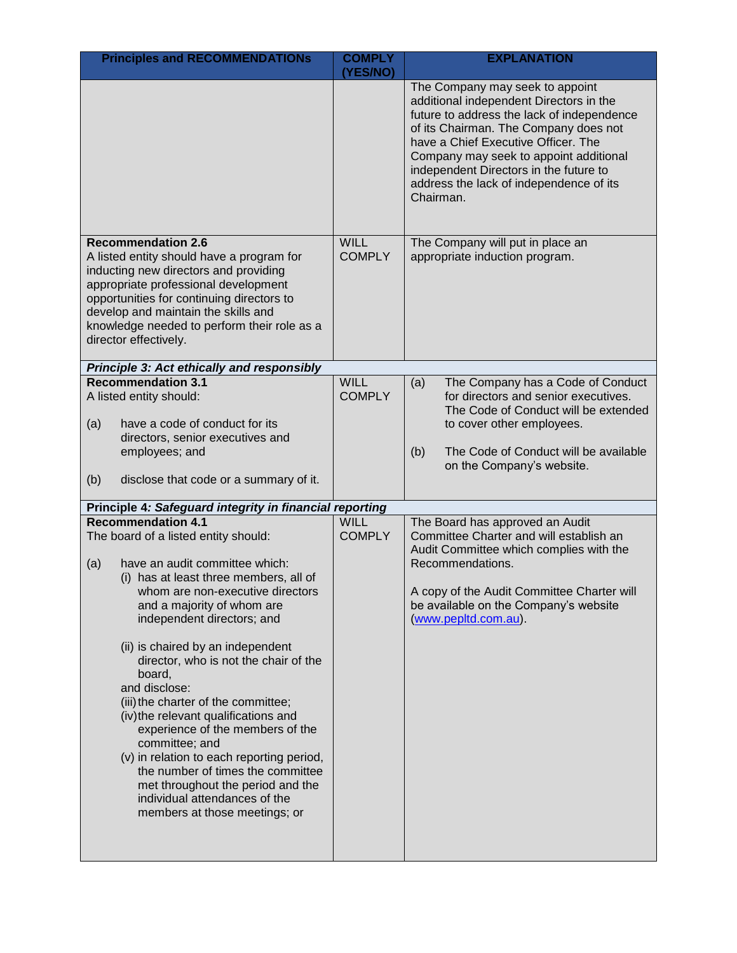|     | <b>Principles and RECOMMENDATIONS</b>                                                                                                                                                                                                                                                                                                                                                                                                                                                                                                                                                                                                                                                | <b>COMPLY</b>                | <b>EXPLANATION</b>                                                                                                                                                                                                                                                                                                                                   |
|-----|--------------------------------------------------------------------------------------------------------------------------------------------------------------------------------------------------------------------------------------------------------------------------------------------------------------------------------------------------------------------------------------------------------------------------------------------------------------------------------------------------------------------------------------------------------------------------------------------------------------------------------------------------------------------------------------|------------------------------|------------------------------------------------------------------------------------------------------------------------------------------------------------------------------------------------------------------------------------------------------------------------------------------------------------------------------------------------------|
|     |                                                                                                                                                                                                                                                                                                                                                                                                                                                                                                                                                                                                                                                                                      | (YES/NO)                     | The Company may seek to appoint<br>additional independent Directors in the<br>future to address the lack of independence<br>of its Chairman. The Company does not<br>have a Chief Executive Officer. The<br>Company may seek to appoint additional<br>independent Directors in the future to<br>address the lack of independence of its<br>Chairman. |
|     | <b>Recommendation 2.6</b><br>A listed entity should have a program for<br>inducting new directors and providing<br>appropriate professional development<br>opportunities for continuing directors to<br>develop and maintain the skills and<br>knowledge needed to perform their role as a<br>director effectively.                                                                                                                                                                                                                                                                                                                                                                  | <b>WILL</b><br><b>COMPLY</b> | The Company will put in place an<br>appropriate induction program.                                                                                                                                                                                                                                                                                   |
|     | <b>Principle 3: Act ethically and responsibly</b>                                                                                                                                                                                                                                                                                                                                                                                                                                                                                                                                                                                                                                    |                              |                                                                                                                                                                                                                                                                                                                                                      |
| (a) | <b>Recommendation 3.1</b><br>A listed entity should:<br>have a code of conduct for its                                                                                                                                                                                                                                                                                                                                                                                                                                                                                                                                                                                               | <b>WILL</b><br><b>COMPLY</b> | The Company has a Code of Conduct<br>(a)<br>for directors and senior executives.<br>The Code of Conduct will be extended<br>to cover other employees.                                                                                                                                                                                                |
|     | directors, senior executives and<br>employees; and                                                                                                                                                                                                                                                                                                                                                                                                                                                                                                                                                                                                                                   |                              | The Code of Conduct will be available<br>(b)<br>on the Company's website.                                                                                                                                                                                                                                                                            |
| (b) | disclose that code or a summary of it.                                                                                                                                                                                                                                                                                                                                                                                                                                                                                                                                                                                                                                               |                              |                                                                                                                                                                                                                                                                                                                                                      |
|     | Principle 4: Safeguard integrity in financial reporting                                                                                                                                                                                                                                                                                                                                                                                                                                                                                                                                                                                                                              |                              |                                                                                                                                                                                                                                                                                                                                                      |
| (a) | <b>Recommendation 4.1</b><br>The board of a listed entity should:<br>have an audit committee which:<br>(i) has at least three members, all of<br>whom are non-executive directors<br>and a majority of whom are<br>independent directors; and<br>(ii) is chaired by an independent<br>director, who is not the chair of the<br>board,<br>and disclose:<br>(iii) the charter of the committee;<br>(iv) the relevant qualifications and<br>experience of the members of the<br>committee; and<br>(v) in relation to each reporting period,<br>the number of times the committee<br>met throughout the period and the<br>individual attendances of the<br>members at those meetings; or | <b>WILL</b><br><b>COMPLY</b> | The Board has approved an Audit<br>Committee Charter and will establish an<br>Audit Committee which complies with the<br>Recommendations.<br>A copy of the Audit Committee Charter will<br>be available on the Company's website<br>(www.pepltd.com.au).                                                                                             |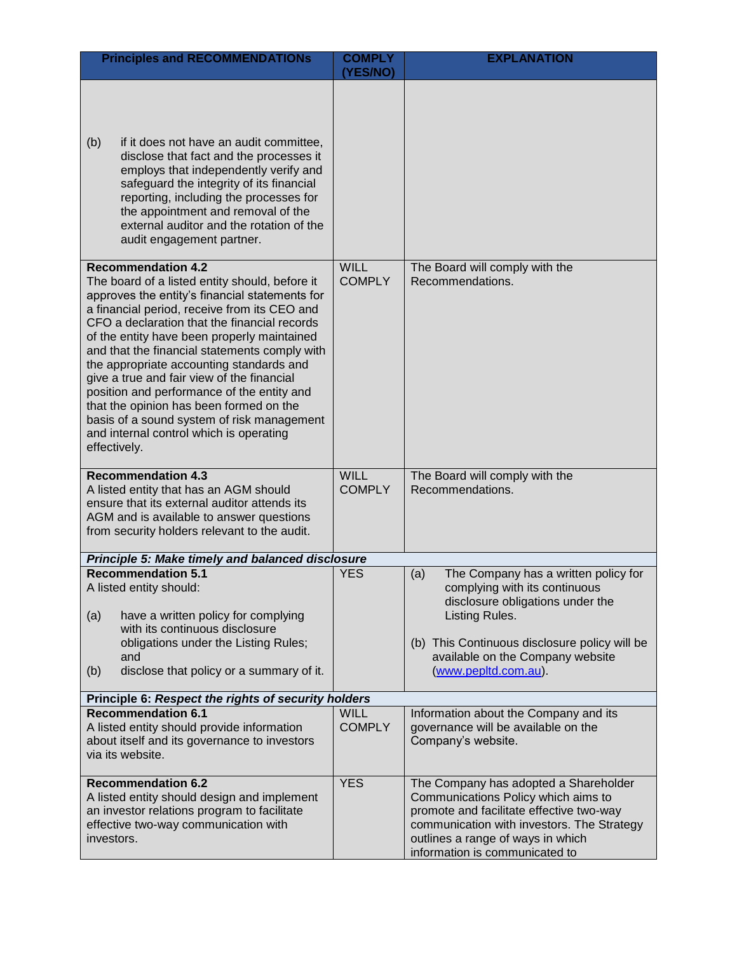| <b>Principles and RECOMMENDATIONS</b>                                                                                                                                                                                                                                                                                                                                                                                                                                                                                                                                                                                     | <b>COMPLY</b>                | <b>EXPLANATION</b>                                                                                                                                                                                                                              |  |
|---------------------------------------------------------------------------------------------------------------------------------------------------------------------------------------------------------------------------------------------------------------------------------------------------------------------------------------------------------------------------------------------------------------------------------------------------------------------------------------------------------------------------------------------------------------------------------------------------------------------------|------------------------------|-------------------------------------------------------------------------------------------------------------------------------------------------------------------------------------------------------------------------------------------------|--|
|                                                                                                                                                                                                                                                                                                                                                                                                                                                                                                                                                                                                                           | <b>(YES/NO)</b>              |                                                                                                                                                                                                                                                 |  |
| (b)<br>if it does not have an audit committee,<br>disclose that fact and the processes it<br>employs that independently verify and<br>safeguard the integrity of its financial<br>reporting, including the processes for<br>the appointment and removal of the<br>external auditor and the rotation of the<br>audit engagement partner.                                                                                                                                                                                                                                                                                   |                              |                                                                                                                                                                                                                                                 |  |
| <b>Recommendation 4.2</b><br>The board of a listed entity should, before it<br>approves the entity's financial statements for<br>a financial period, receive from its CEO and<br>CFO a declaration that the financial records<br>of the entity have been properly maintained<br>and that the financial statements comply with<br>the appropriate accounting standards and<br>give a true and fair view of the financial<br>position and performance of the entity and<br>that the opinion has been formed on the<br>basis of a sound system of risk management<br>and internal control which is operating<br>effectively. | <b>WILL</b><br><b>COMPLY</b> | The Board will comply with the<br>Recommendations.                                                                                                                                                                                              |  |
| <b>Recommendation 4.3</b><br>A listed entity that has an AGM should<br>ensure that its external auditor attends its<br>AGM and is available to answer questions<br>from security holders relevant to the audit.                                                                                                                                                                                                                                                                                                                                                                                                           | <b>WILL</b><br><b>COMPLY</b> | The Board will comply with the<br>Recommendations.                                                                                                                                                                                              |  |
| Principle 5: Make timely and balanced disclosure                                                                                                                                                                                                                                                                                                                                                                                                                                                                                                                                                                          |                              |                                                                                                                                                                                                                                                 |  |
| <b>Recommendation 5.1</b><br>A listed entity should:<br>(a)<br>have a written policy for complying<br>with its continuous disclosure<br>obligations under the Listing Rules;<br>and<br>disclose that policy or a summary of it.<br>(b)                                                                                                                                                                                                                                                                                                                                                                                    | <b>YES</b>                   | The Company has a written policy for<br>(a)<br>complying with its continuous<br>disclosure obligations under the<br>Listing Rules.<br>(b) This Continuous disclosure policy will be<br>available on the Company website<br>(www.pepltd.com.au). |  |
| Principle 6: Respect the rights of security holders                                                                                                                                                                                                                                                                                                                                                                                                                                                                                                                                                                       |                              |                                                                                                                                                                                                                                                 |  |
| <b>Recommendation 6.1</b><br>A listed entity should provide information<br>about itself and its governance to investors<br>via its website.                                                                                                                                                                                                                                                                                                                                                                                                                                                                               | <b>WILL</b><br><b>COMPLY</b> | Information about the Company and its<br>governance will be available on the<br>Company's website.                                                                                                                                              |  |
| <b>Recommendation 6.2</b><br>A listed entity should design and implement<br>an investor relations program to facilitate<br>effective two-way communication with<br>investors.                                                                                                                                                                                                                                                                                                                                                                                                                                             | <b>YES</b>                   | The Company has adopted a Shareholder<br>Communications Policy which aims to<br>promote and facilitate effective two-way<br>communication with investors. The Strategy<br>outlines a range of ways in which<br>information is communicated to   |  |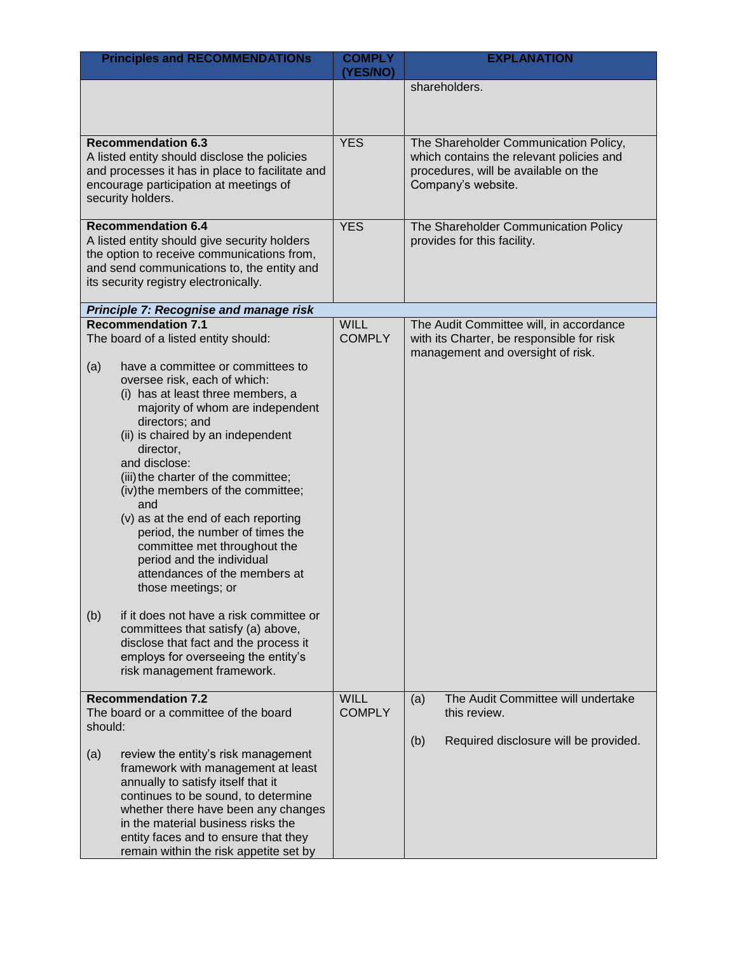| <b>Principles and RECOMMENDATIONs</b>                                                                                                                                                                                                                                                                                                                                                                                                                                                                                                                                                                                                                                                                                                                                 | <b>COMPLY</b><br>(YES/NO)    | <b>EXPLANATION</b>                                                                                                                              |
|-----------------------------------------------------------------------------------------------------------------------------------------------------------------------------------------------------------------------------------------------------------------------------------------------------------------------------------------------------------------------------------------------------------------------------------------------------------------------------------------------------------------------------------------------------------------------------------------------------------------------------------------------------------------------------------------------------------------------------------------------------------------------|------------------------------|-------------------------------------------------------------------------------------------------------------------------------------------------|
|                                                                                                                                                                                                                                                                                                                                                                                                                                                                                                                                                                                                                                                                                                                                                                       |                              | shareholders.                                                                                                                                   |
|                                                                                                                                                                                                                                                                                                                                                                                                                                                                                                                                                                                                                                                                                                                                                                       |                              |                                                                                                                                                 |
| <b>Recommendation 6.3</b><br>A listed entity should disclose the policies<br>and processes it has in place to facilitate and<br>encourage participation at meetings of<br>security holders.                                                                                                                                                                                                                                                                                                                                                                                                                                                                                                                                                                           | <b>YES</b>                   | The Shareholder Communication Policy,<br>which contains the relevant policies and<br>procedures, will be available on the<br>Company's website. |
| <b>Recommendation 6.4</b><br>A listed entity should give security holders<br>the option to receive communications from,<br>and send communications to, the entity and<br>its security registry electronically.                                                                                                                                                                                                                                                                                                                                                                                                                                                                                                                                                        | <b>YES</b>                   | The Shareholder Communication Policy<br>provides for this facility.                                                                             |
| Principle 7: Recognise and manage risk                                                                                                                                                                                                                                                                                                                                                                                                                                                                                                                                                                                                                                                                                                                                |                              |                                                                                                                                                 |
| <b>Recommendation 7.1</b><br>The board of a listed entity should:<br>have a committee or committees to<br>(a)<br>oversee risk, each of which:<br>(i) has at least three members, a<br>majority of whom are independent<br>directors; and<br>(ii) is chaired by an independent<br>director,<br>and disclose:<br>(iii) the charter of the committee;<br>(iv) the members of the committee;<br>and<br>(v) as at the end of each reporting<br>period, the number of times the<br>committee met throughout the<br>period and the individual<br>attendances of the members at<br>those meetings; or<br>(b)<br>if it does not have a risk committee or<br>committees that satisfy (a) above,<br>disclose that fact and the process it<br>employs for overseeing the entity's | <b>WILL</b><br><b>COMPLY</b> | The Audit Committee will, in accordance<br>with its Charter, be responsible for risk<br>management and oversight of risk.                       |
| risk management framework.                                                                                                                                                                                                                                                                                                                                                                                                                                                                                                                                                                                                                                                                                                                                            |                              |                                                                                                                                                 |
| <b>Recommendation 7.2</b><br>The board or a committee of the board<br>should:                                                                                                                                                                                                                                                                                                                                                                                                                                                                                                                                                                                                                                                                                         | <b>WILL</b><br><b>COMPLY</b> | The Audit Committee will undertake<br>(a)<br>this review.                                                                                       |
| (a)<br>review the entity's risk management<br>framework with management at least<br>annually to satisfy itself that it<br>continues to be sound, to determine<br>whether there have been any changes<br>in the material business risks the<br>entity faces and to ensure that they<br>remain within the risk appetite set by                                                                                                                                                                                                                                                                                                                                                                                                                                          |                              | (b)<br>Required disclosure will be provided.                                                                                                    |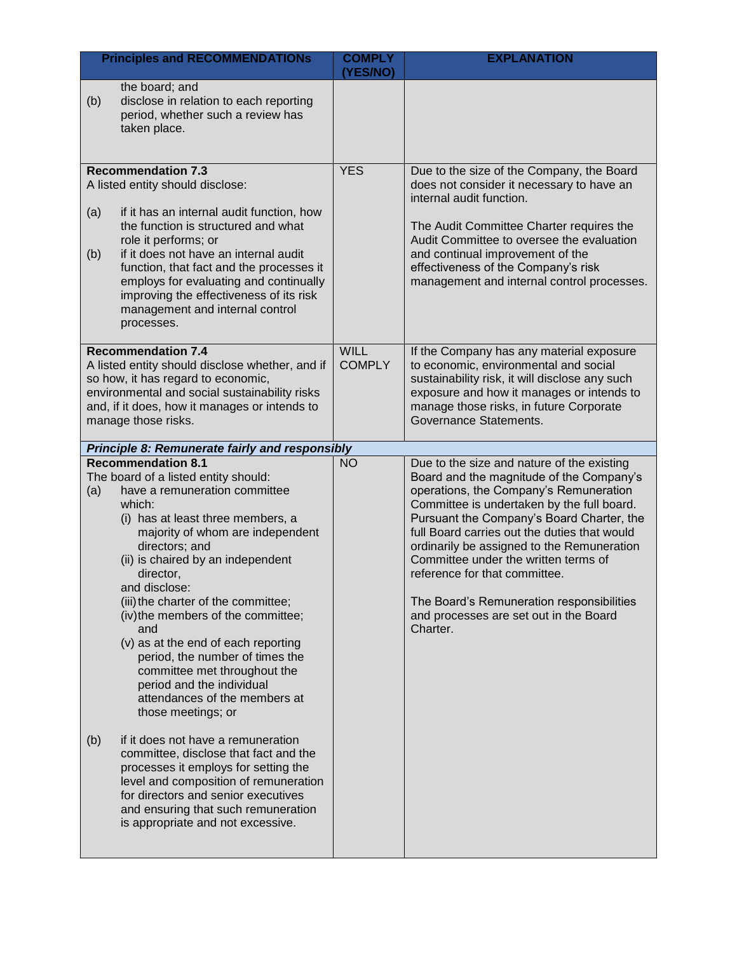| <b>Principles and RECOMMENDATIONs</b>                                                                                                                                                                                                                                                                                                                                                                                                                                                                                                                                                                                                                     | <b>COMPLY</b><br>(YES/NO)    | <b>EXPLANATION</b>                                                                                                                                                                                                                                                                                                                                                                                                                                                                                    |
|-----------------------------------------------------------------------------------------------------------------------------------------------------------------------------------------------------------------------------------------------------------------------------------------------------------------------------------------------------------------------------------------------------------------------------------------------------------------------------------------------------------------------------------------------------------------------------------------------------------------------------------------------------------|------------------------------|-------------------------------------------------------------------------------------------------------------------------------------------------------------------------------------------------------------------------------------------------------------------------------------------------------------------------------------------------------------------------------------------------------------------------------------------------------------------------------------------------------|
| the board; and<br>disclose in relation to each reporting<br>(b)<br>period, whether such a review has<br>taken place.                                                                                                                                                                                                                                                                                                                                                                                                                                                                                                                                      |                              |                                                                                                                                                                                                                                                                                                                                                                                                                                                                                                       |
| <b>Recommendation 7.3</b><br>A listed entity should disclose:<br>if it has an internal audit function, how<br>(a)<br>the function is structured and what<br>role it performs; or<br>if it does not have an internal audit<br>(b)<br>function, that fact and the processes it<br>employs for evaluating and continually<br>improving the effectiveness of its risk<br>management and internal control<br>processes.                                                                                                                                                                                                                                        | <b>YES</b>                   | Due to the size of the Company, the Board<br>does not consider it necessary to have an<br>internal audit function.<br>The Audit Committee Charter requires the<br>Audit Committee to oversee the evaluation<br>and continual improvement of the<br>effectiveness of the Company's risk<br>management and internal control processes.                                                                                                                                                                  |
| <b>Recommendation 7.4</b><br>A listed entity should disclose whether, and if<br>so how, it has regard to economic,<br>environmental and social sustainability risks<br>and, if it does, how it manages or intends to<br>manage those risks.                                                                                                                                                                                                                                                                                                                                                                                                               | <b>WILL</b><br><b>COMPLY</b> | If the Company has any material exposure<br>to economic, environmental and social<br>sustainability risk, it will disclose any such<br>exposure and how it manages or intends to<br>manage those risks, in future Corporate<br>Governance Statements.                                                                                                                                                                                                                                                 |
| Principle 8: Remunerate fairly and responsibly                                                                                                                                                                                                                                                                                                                                                                                                                                                                                                                                                                                                            |                              |                                                                                                                                                                                                                                                                                                                                                                                                                                                                                                       |
| <b>Recommendation 8.1</b><br>The board of a listed entity should:<br>have a remuneration committee<br>(a)<br>which:<br>(i) has at least three members, a<br>majority of whom are independent<br>directors; and<br>(ii) is chaired by an independent<br>director,<br>and disclose:<br>(iii) the charter of the committee;<br>(iv) the members of the committee;<br>and<br>(v) as at the end of each reporting<br>period, the number of times the<br>committee met throughout the<br>period and the individual<br>attendances of the members at<br>those meetings; or<br>if it does not have a remuneration<br>(b)<br>committee, disclose that fact and the | <b>NO</b>                    | Due to the size and nature of the existing<br>Board and the magnitude of the Company's<br>operations, the Company's Remuneration<br>Committee is undertaken by the full board.<br>Pursuant the Company's Board Charter, the<br>full Board carries out the duties that would<br>ordinarily be assigned to the Remuneration<br>Committee under the written terms of<br>reference for that committee.<br>The Board's Remuneration responsibilities<br>and processes are set out in the Board<br>Charter. |
| processes it employs for setting the<br>level and composition of remuneration<br>for directors and senior executives<br>and ensuring that such remuneration<br>is appropriate and not excessive.                                                                                                                                                                                                                                                                                                                                                                                                                                                          |                              |                                                                                                                                                                                                                                                                                                                                                                                                                                                                                                       |